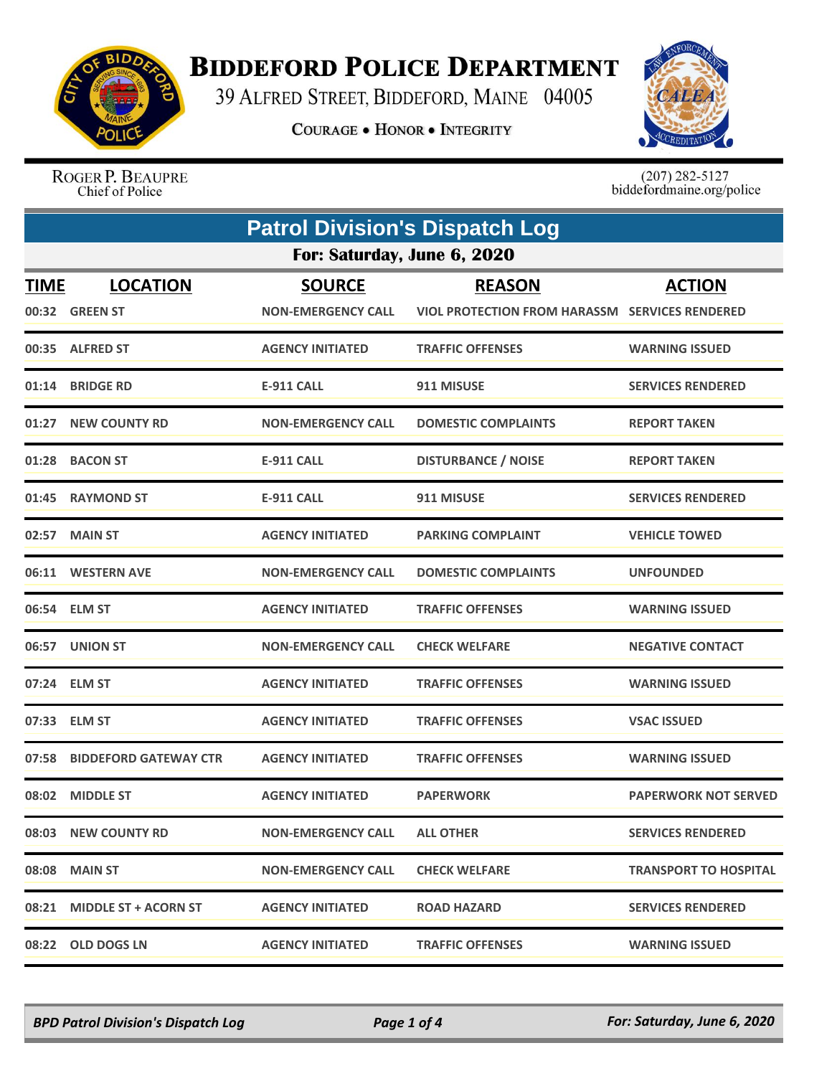

## **BIDDEFORD POLICE DEPARTMENT**

39 ALFRED STREET, BIDDEFORD, MAINE 04005

**COURAGE . HONOR . INTEGRITY** 



ROGER P. BEAUPRE Chief of Police

 $(207)$  282-5127<br>biddefordmaine.org/police

| <b>Patrol Division's Dispatch Log</b> |                                   |                                            |                                                                        |                              |  |
|---------------------------------------|-----------------------------------|--------------------------------------------|------------------------------------------------------------------------|------------------------------|--|
| For: Saturday, June 6, 2020           |                                   |                                            |                                                                        |                              |  |
| <b>TIME</b>                           | <b>LOCATION</b><br>00:32 GREEN ST | <b>SOURCE</b><br><b>NON-EMERGENCY CALL</b> | <b>REASON</b><br><b>VIOL PROTECTION FROM HARASSM SERVICES RENDERED</b> | <b>ACTION</b>                |  |
|                                       | 00:35 ALFRED ST                   | <b>AGENCY INITIATED</b>                    | <b>TRAFFIC OFFENSES</b>                                                | <b>WARNING ISSUED</b>        |  |
|                                       | 01:14 BRIDGE RD                   | <b>E-911 CALL</b>                          | 911 MISUSE                                                             | <b>SERVICES RENDERED</b>     |  |
|                                       | 01:27 NEW COUNTY RD               | <b>NON-EMERGENCY CALL</b>                  | <b>DOMESTIC COMPLAINTS</b>                                             | <b>REPORT TAKEN</b>          |  |
| 01:28                                 | <b>BACON ST</b>                   | <b>E-911 CALL</b>                          | <b>DISTURBANCE / NOISE</b>                                             | <b>REPORT TAKEN</b>          |  |
|                                       | 01:45 RAYMOND ST                  | <b>E-911 CALL</b>                          | 911 MISUSE                                                             | <b>SERVICES RENDERED</b>     |  |
|                                       | 02:57 MAIN ST                     | <b>AGENCY INITIATED</b>                    | <b>PARKING COMPLAINT</b>                                               | <b>VEHICLE TOWED</b>         |  |
|                                       | 06:11 WESTERN AVE                 | <b>NON-EMERGENCY CALL</b>                  | <b>DOMESTIC COMPLAINTS</b>                                             | <b>UNFOUNDED</b>             |  |
|                                       | 06:54 ELM ST                      | <b>AGENCY INITIATED</b>                    | <b>TRAFFIC OFFENSES</b>                                                | <b>WARNING ISSUED</b>        |  |
|                                       | 06:57 UNION ST                    | <b>NON-EMERGENCY CALL</b>                  | <b>CHECK WELFARE</b>                                                   | <b>NEGATIVE CONTACT</b>      |  |
|                                       | 07:24 ELM ST                      | <b>AGENCY INITIATED</b>                    | <b>TRAFFIC OFFENSES</b>                                                | <b>WARNING ISSUED</b>        |  |
| 07:33                                 | <b>ELM ST</b>                     | <b>AGENCY INITIATED</b>                    | <b>TRAFFIC OFFENSES</b>                                                | <b>VSAC ISSUED</b>           |  |
|                                       | 07:58 BIDDEFORD GATEWAY CTR       | <b>AGENCY INITIATED</b>                    | <b>TRAFFIC OFFENSES</b>                                                | <b>WARNING ISSUED</b>        |  |
|                                       | 08:02 MIDDLE ST                   | <b>AGENCY INITIATED</b>                    | <b>PAPERWORK</b>                                                       | <b>PAPERWORK NOT SERVED</b>  |  |
|                                       | 08:03 NEW COUNTY RD               | <b>NON-EMERGENCY CALL</b>                  | <b>ALL OTHER</b>                                                       | <b>SERVICES RENDERED</b>     |  |
|                                       | 08:08 MAIN ST                     | <b>NON-EMERGENCY CALL</b>                  | <b>CHECK WELFARE</b>                                                   | <b>TRANSPORT TO HOSPITAL</b> |  |
|                                       | 08:21 MIDDLE ST + ACORN ST        | <b>AGENCY INITIATED</b>                    | <b>ROAD HAZARD</b>                                                     | <b>SERVICES RENDERED</b>     |  |
|                                       | 08:22 OLD DOGS LN                 | <b>AGENCY INITIATED</b>                    | <b>TRAFFIC OFFENSES</b>                                                | <b>WARNING ISSUED</b>        |  |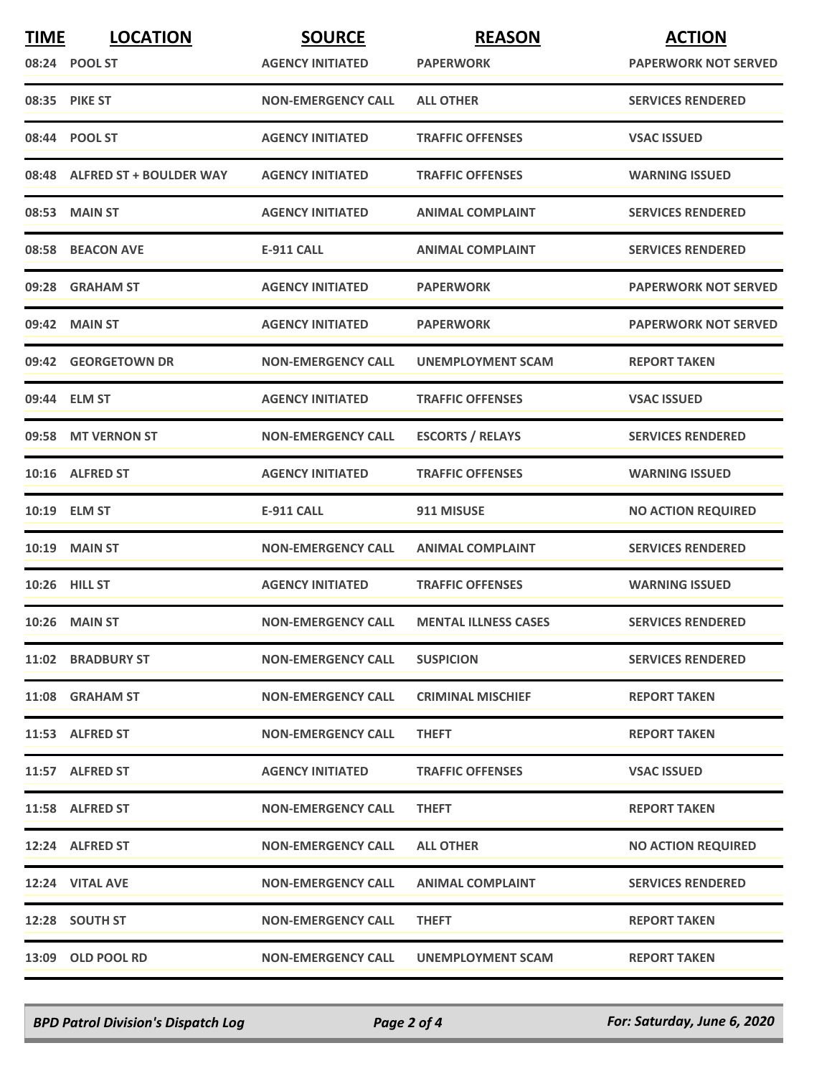| <b>TIME</b> | <b>LOCATION</b>               | <b>SOURCE</b>             | <b>REASON</b>               | <b>ACTION</b>               |
|-------------|-------------------------------|---------------------------|-----------------------------|-----------------------------|
|             | 08:24 POOL ST                 | <b>AGENCY INITIATED</b>   | <b>PAPERWORK</b>            | <b>PAPERWORK NOT SERVED</b> |
|             | 08:35 PIKE ST                 | <b>NON-EMERGENCY CALL</b> | <b>ALL OTHER</b>            | <b>SERVICES RENDERED</b>    |
|             | 08:44 POOL ST                 | <b>AGENCY INITIATED</b>   | <b>TRAFFIC OFFENSES</b>     | <b>VSAC ISSUED</b>          |
|             | 08:48 ALFRED ST + BOULDER WAY | <b>AGENCY INITIATED</b>   | <b>TRAFFIC OFFENSES</b>     | <b>WARNING ISSUED</b>       |
|             | 08:53 MAIN ST                 | <b>AGENCY INITIATED</b>   | <b>ANIMAL COMPLAINT</b>     | <b>SERVICES RENDERED</b>    |
|             | 08:58 BEACON AVE              | <b>E-911 CALL</b>         | <b>ANIMAL COMPLAINT</b>     | <b>SERVICES RENDERED</b>    |
|             | 09:28 GRAHAM ST               | <b>AGENCY INITIATED</b>   | <b>PAPERWORK</b>            | <b>PAPERWORK NOT SERVED</b> |
|             | 09:42 MAIN ST                 | <b>AGENCY INITIATED</b>   | <b>PAPERWORK</b>            | <b>PAPERWORK NOT SERVED</b> |
|             | 09:42 GEORGETOWN DR           | <b>NON-EMERGENCY CALL</b> | <b>UNEMPLOYMENT SCAM</b>    | <b>REPORT TAKEN</b>         |
|             | 09:44 ELM ST                  | <b>AGENCY INITIATED</b>   | <b>TRAFFIC OFFENSES</b>     | <b>VSAC ISSUED</b>          |
|             | 09:58 MT VERNON ST            | <b>NON-EMERGENCY CALL</b> | <b>ESCORTS / RELAYS</b>     | <b>SERVICES RENDERED</b>    |
|             | 10:16 ALFRED ST               | <b>AGENCY INITIATED</b>   | <b>TRAFFIC OFFENSES</b>     | <b>WARNING ISSUED</b>       |
|             | 10:19 ELM ST                  | <b>E-911 CALL</b>         | 911 MISUSE                  | <b>NO ACTION REQUIRED</b>   |
|             | <b>10:19 MAIN ST</b>          | <b>NON-EMERGENCY CALL</b> | <b>ANIMAL COMPLAINT</b>     | <b>SERVICES RENDERED</b>    |
|             | <b>10:26 HILL ST</b>          | <b>AGENCY INITIATED</b>   | <b>TRAFFIC OFFENSES</b>     | <b>WARNING ISSUED</b>       |
|             | <b>10:26 MAIN ST</b>          | <b>NON-EMERGENCY CALL</b> | <b>MENTAL ILLNESS CASES</b> | <b>SERVICES RENDERED</b>    |
|             | 11:02 BRADBURY ST             | <b>NON-EMERGENCY CALL</b> | <b>SUSPICION</b>            | <b>SERVICES RENDERED</b>    |
|             | 11:08 GRAHAM ST               | <b>NON-EMERGENCY CALL</b> | <b>CRIMINAL MISCHIEF</b>    | <b>REPORT TAKEN</b>         |
|             | 11:53 ALFRED ST               | <b>NON-EMERGENCY CALL</b> | <b>THEFT</b>                | <b>REPORT TAKEN</b>         |
|             | 11:57 ALFRED ST               | <b>AGENCY INITIATED</b>   | <b>TRAFFIC OFFENSES</b>     | <b>VSAC ISSUED</b>          |
|             | 11:58 ALFRED ST               | <b>NON-EMERGENCY CALL</b> | <b>THEFT</b>                | <b>REPORT TAKEN</b>         |
|             | 12:24 ALFRED ST               | <b>NON-EMERGENCY CALL</b> | <b>ALL OTHER</b>            | <b>NO ACTION REQUIRED</b>   |
|             | 12:24 VITAL AVE               | <b>NON-EMERGENCY CALL</b> | <b>ANIMAL COMPLAINT</b>     | <b>SERVICES RENDERED</b>    |
|             | 12:28 SOUTH ST                | <b>NON-EMERGENCY CALL</b> | <b>THEFT</b>                | <b>REPORT TAKEN</b>         |
|             | 13:09 OLD POOL RD             | <b>NON-EMERGENCY CALL</b> | UNEMPLOYMENT SCAM           | <b>REPORT TAKEN</b>         |

*BPD Patrol Division's Dispatch Log Page 2 of 4 For: Saturday, June 6, 2020*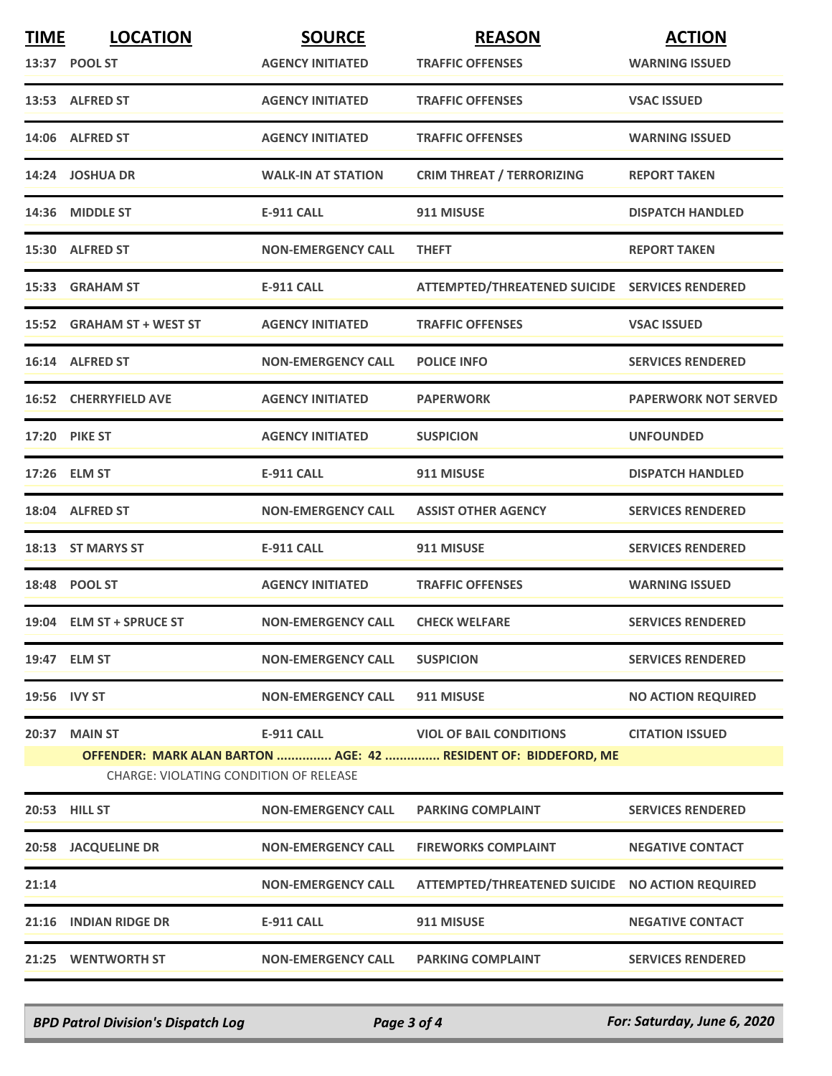| <b>TIME</b>                                                                                               | <b>LOCATION</b>              | <b>SOURCE</b>             | <b>REASON</b>                                   | <b>ACTION</b>               |  |
|-----------------------------------------------------------------------------------------------------------|------------------------------|---------------------------|-------------------------------------------------|-----------------------------|--|
|                                                                                                           | 13:37 POOL ST                | <b>AGENCY INITIATED</b>   | <b>TRAFFIC OFFENSES</b>                         | <b>WARNING ISSUED</b>       |  |
|                                                                                                           | 13:53 ALFRED ST              | <b>AGENCY INITIATED</b>   | <b>TRAFFIC OFFENSES</b>                         | <b>VSAC ISSUED</b>          |  |
|                                                                                                           | 14:06 ALFRED ST              | <b>AGENCY INITIATED</b>   | <b>TRAFFIC OFFENSES</b>                         | <b>WARNING ISSUED</b>       |  |
|                                                                                                           | 14:24 JOSHUA DR              | <b>WALK-IN AT STATION</b> | <b>CRIM THREAT / TERRORIZING</b>                | <b>REPORT TAKEN</b>         |  |
|                                                                                                           | 14:36 MIDDLE ST              | <b>E-911 CALL</b>         | 911 MISUSE                                      | <b>DISPATCH HANDLED</b>     |  |
|                                                                                                           | 15:30 ALFRED ST              | <b>NON-EMERGENCY CALL</b> | <b>THEFT</b>                                    | <b>REPORT TAKEN</b>         |  |
|                                                                                                           | 15:33 GRAHAM ST              | <b>E-911 CALL</b>         | ATTEMPTED/THREATENED SUICIDE SERVICES RENDERED  |                             |  |
|                                                                                                           | 15:52 GRAHAM ST + WEST ST    | <b>AGENCY INITIATED</b>   | <b>TRAFFIC OFFENSES</b>                         | <b>VSAC ISSUED</b>          |  |
|                                                                                                           | 16:14 ALFRED ST              | <b>NON-EMERGENCY CALL</b> | <b>POLICE INFO</b>                              | <b>SERVICES RENDERED</b>    |  |
|                                                                                                           | <b>16:52 CHERRYFIELD AVE</b> | <b>AGENCY INITIATED</b>   | <b>PAPERWORK</b>                                | <b>PAPERWORK NOT SERVED</b> |  |
|                                                                                                           | <b>17:20 PIKE ST</b>         | <b>AGENCY INITIATED</b>   | <b>SUSPICION</b>                                | <b>UNFOUNDED</b>            |  |
|                                                                                                           | 17:26 ELM ST                 | <b>E-911 CALL</b>         | 911 MISUSE                                      | <b>DISPATCH HANDLED</b>     |  |
|                                                                                                           | 18:04 ALFRED ST              | <b>NON-EMERGENCY CALL</b> | <b>ASSIST OTHER AGENCY</b>                      | <b>SERVICES RENDERED</b>    |  |
|                                                                                                           | 18:13 ST MARYS ST            | <b>E-911 CALL</b>         | 911 MISUSE                                      | <b>SERVICES RENDERED</b>    |  |
|                                                                                                           | 18:48 POOL ST                | <b>AGENCY INITIATED</b>   | <b>TRAFFIC OFFENSES</b>                         | <b>WARNING ISSUED</b>       |  |
|                                                                                                           | 19:04 ELM ST + SPRUCE ST     | <b>NON-EMERGENCY CALL</b> | <b>CHECK WELFARE</b>                            | <b>SERVICES RENDERED</b>    |  |
|                                                                                                           | 19:47 ELM ST                 | <b>NON-EMERGENCY CALL</b> | <b>SUSPICION</b>                                | <b>SERVICES RENDERED</b>    |  |
| 19:56 IVY ST                                                                                              |                              | <b>NON-EMERGENCY CALL</b> | 911 MISUSE                                      | <b>NO ACTION REQUIRED</b>   |  |
|                                                                                                           | 20:37 MAIN ST                | <b>E-911 CALL</b>         | <b>VIOL OF BAIL CONDITIONS</b>                  | <b>CITATION ISSUED</b>      |  |
| OFFENDER: MARK ALAN BARTON  AGE: 42  RESIDENT OF: BIDDEFORD, ME<br>CHARGE: VIOLATING CONDITION OF RELEASE |                              |                           |                                                 |                             |  |
|                                                                                                           | 20:53 HILL ST                | <b>NON-EMERGENCY CALL</b> | <b>PARKING COMPLAINT</b>                        | <b>SERVICES RENDERED</b>    |  |
|                                                                                                           | <b>20:58 JACQUELINE DR</b>   | <b>NON-EMERGENCY CALL</b> | <b>FIREWORKS COMPLAINT</b>                      | <b>NEGATIVE CONTACT</b>     |  |
| 21:14                                                                                                     |                              | <b>NON-EMERGENCY CALL</b> | ATTEMPTED/THREATENED SUICIDE NO ACTION REQUIRED |                             |  |
|                                                                                                           | 21:16 INDIAN RIDGE DR        | <b>E-911 CALL</b>         | 911 MISUSE                                      | <b>NEGATIVE CONTACT</b>     |  |
|                                                                                                           | 21:25 WENTWORTH ST           | <b>NON-EMERGENCY CALL</b> | <b>PARKING COMPLAINT</b>                        | <b>SERVICES RENDERED</b>    |  |

*BPD Patrol Division's Dispatch Log Page 3 of 4 For: Saturday, June 6, 2020*